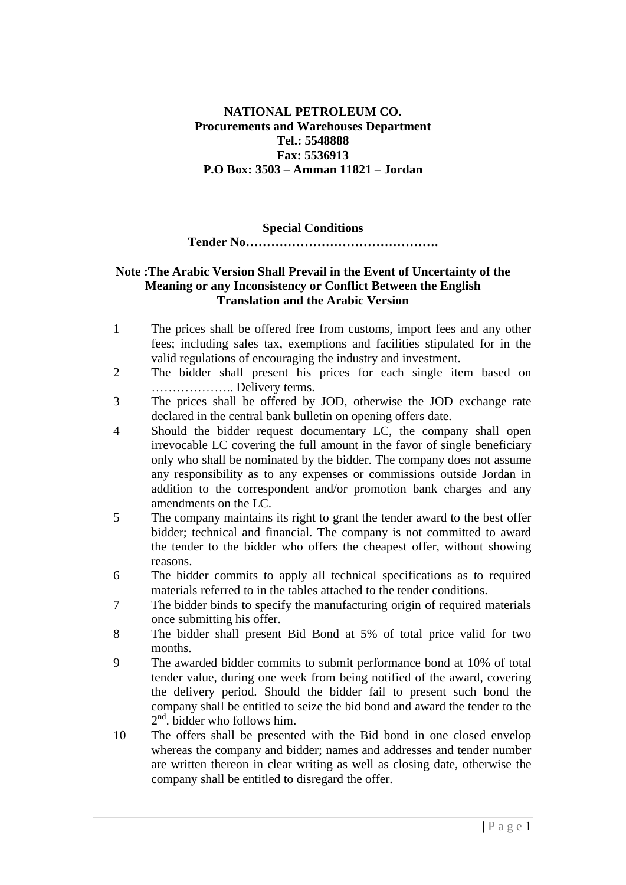### **NATIONAL PETROLEUM CO. Procurements and Warehouses Department Tel.: 5548888 Fax: 5536913 P.O Box: 3503 – Amman 11821 – Jordan**

#### **Special Conditions**

#### **Tender No……………………………………….**

### **Note :The Arabic Version Shall Prevail in the Event of Uncertainty of the Meaning or any Inconsistency or Conflict Between the English Translation and the Arabic Version**

- 1 The prices shall be offered free from customs, import fees and any other fees; including sales tax, exemptions and facilities stipulated for in the valid regulations of encouraging the industry and investment.
- 2 The bidder shall present his prices for each single item based on ……………….. Delivery terms.
- 3 The prices shall be offered by JOD, otherwise the JOD exchange rate declared in the central bank bulletin on opening offers date.
- 4 Should the bidder request documentary LC, the company shall open irrevocable LC covering the full amount in the favor of single beneficiary only who shall be nominated by the bidder. The company does not assume any responsibility as to any expenses or commissions outside Jordan in addition to the correspondent and/or promotion bank charges and any amendments on the LC.
- 5 The company maintains its right to grant the tender award to the best offer bidder; technical and financial. The company is not committed to award the tender to the bidder who offers the cheapest offer, without showing reasons.
- 6 The bidder commits to apply all technical specifications as to required materials referred to in the tables attached to the tender conditions.
- 7 The bidder binds to specify the manufacturing origin of required materials once submitting his offer.
- 8 The bidder shall present Bid Bond at 5% of total price valid for two months.
- 9 The awarded bidder commits to submit performance bond at 10% of total tender value, during one week from being notified of the award, covering the delivery period. Should the bidder fail to present such bond the company shall be entitled to seize the bid bond and award the tender to the 2<sup>nd</sup>. bidder who follows him.
- 10 The offers shall be presented with the Bid bond in one closed envelop whereas the company and bidder; names and addresses and tender number are written thereon in clear writing as well as closing date, otherwise the company shall be entitled to disregard the offer.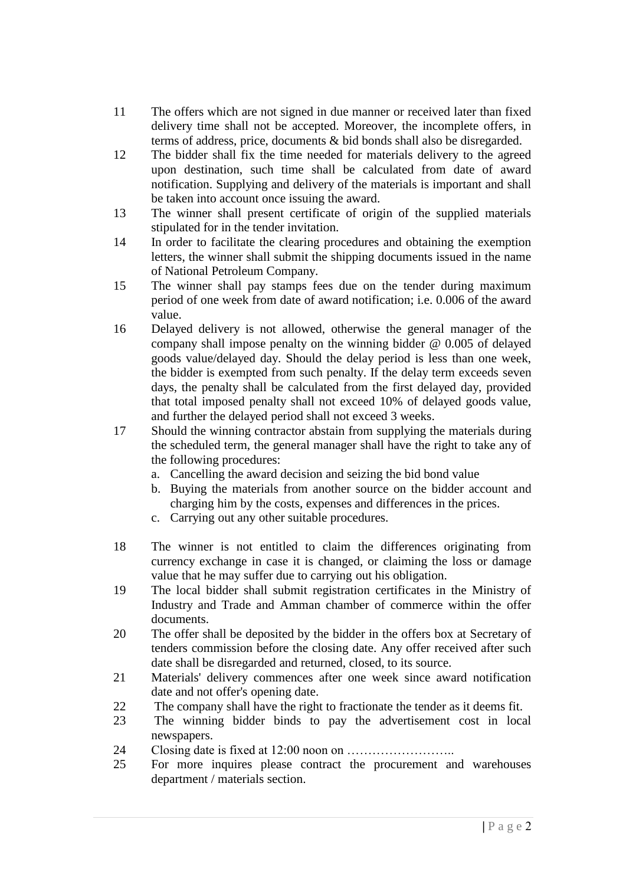- 11 The offers which are not signed in due manner or received later than fixed delivery time shall not be accepted. Moreover, the incomplete offers, in terms of address, price, documents & bid bonds shall also be disregarded.
- 12 The bidder shall fix the time needed for materials delivery to the agreed upon destination, such time shall be calculated from date of award notification. Supplying and delivery of the materials is important and shall be taken into account once issuing the award.
- 13 The winner shall present certificate of origin of the supplied materials stipulated for in the tender invitation.
- 14 In order to facilitate the clearing procedures and obtaining the exemption letters, the winner shall submit the shipping documents issued in the name of National Petroleum Company.
- 15 The winner shall pay stamps fees due on the tender during maximum period of one week from date of award notification; i.e. 0.006 of the award value.
- 16 Delayed delivery is not allowed, otherwise the general manager of the company shall impose penalty on the winning bidder @ 0.005 of delayed goods value/delayed day. Should the delay period is less than one week, the bidder is exempted from such penalty. If the delay term exceeds seven days, the penalty shall be calculated from the first delayed day, provided that total imposed penalty shall not exceed 10% of delayed goods value, and further the delayed period shall not exceed 3 weeks.
- 17 Should the winning contractor abstain from supplying the materials during the scheduled term, the general manager shall have the right to take any of the following procedures:
	- a. Cancelling the award decision and seizing the bid bond value
	- b. Buying the materials from another source on the bidder account and charging him by the costs, expenses and differences in the prices.
	- c. Carrying out any other suitable procedures.
- 18 The winner is not entitled to claim the differences originating from currency exchange in case it is changed, or claiming the loss or damage value that he may suffer due to carrying out his obligation.
- 19 The local bidder shall submit registration certificates in the Ministry of Industry and Trade and Amman chamber of commerce within the offer documents.
- 20 The offer shall be deposited by the bidder in the offers box at Secretary of tenders commission before the closing date. Any offer received after such date shall be disregarded and returned, closed, to its source.
- 21 Materials' delivery commences after one week since award notification date and not offer's opening date.
- 22 The company shall have the right to fractionate the tender as it deems fit.
- 23 The winning bidder binds to pay the advertisement cost in local newspapers.
- 24 Closing date is fixed at 12:00 noon on ……………………..
- 25 For more inquires please contract the procurement and warehouses department / materials section.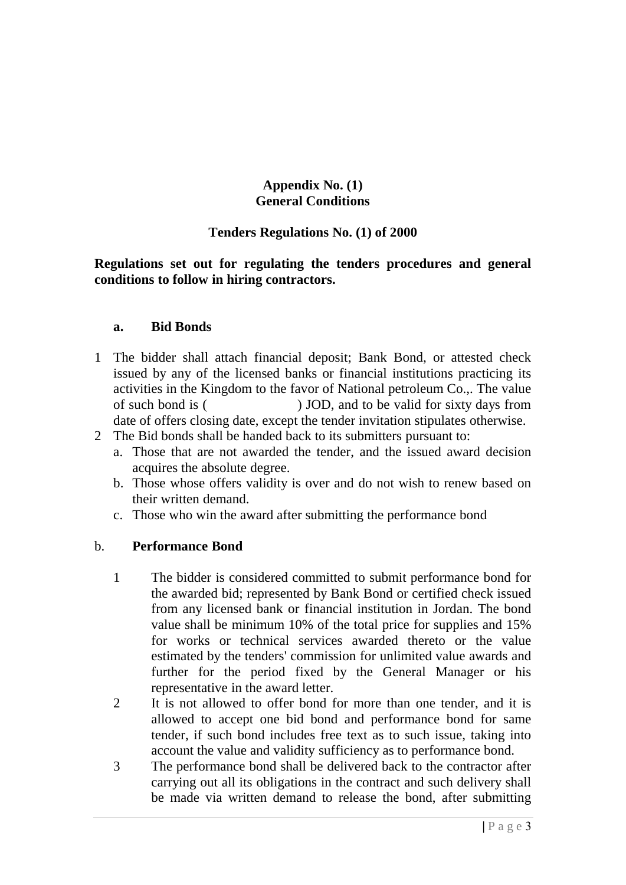# **Appendix No. (1) General Conditions**

# **Tenders Regulations No. (1) of 2000**

**Regulations set out for regulating the tenders procedures and general conditions to follow in hiring contractors.**

## **a. Bid Bonds**

- 1 The bidder shall attach financial deposit; Bank Bond, or attested check issued by any of the licensed banks or financial institutions practicing its activities in the Kingdom to the favor of National petroleum Co.,. The value of such bond is ( ) JOD, and to be valid for sixty days from date of offers closing date, except the tender invitation stipulates otherwise.
- 2 The Bid bonds shall be handed back to its submitters pursuant to:
	- a. Those that are not awarded the tender, and the issued award decision acquires the absolute degree.
	- b. Those whose offers validity is over and do not wish to renew based on their written demand.
	- c. Those who win the award after submitting the performance bond

## b. **Performance Bond**

- 1 The bidder is considered committed to submit performance bond for the awarded bid; represented by Bank Bond or certified check issued from any licensed bank or financial institution in Jordan. The bond value shall be minimum 10% of the total price for supplies and 15% for works or technical services awarded thereto or the value estimated by the tenders' commission for unlimited value awards and further for the period fixed by the General Manager or his representative in the award letter.
- 2 It is not allowed to offer bond for more than one tender, and it is allowed to accept one bid bond and performance bond for same tender, if such bond includes free text as to such issue, taking into account the value and validity sufficiency as to performance bond.
- 3 The performance bond shall be delivered back to the contractor after carrying out all its obligations in the contract and such delivery shall be made via written demand to release the bond, after submitting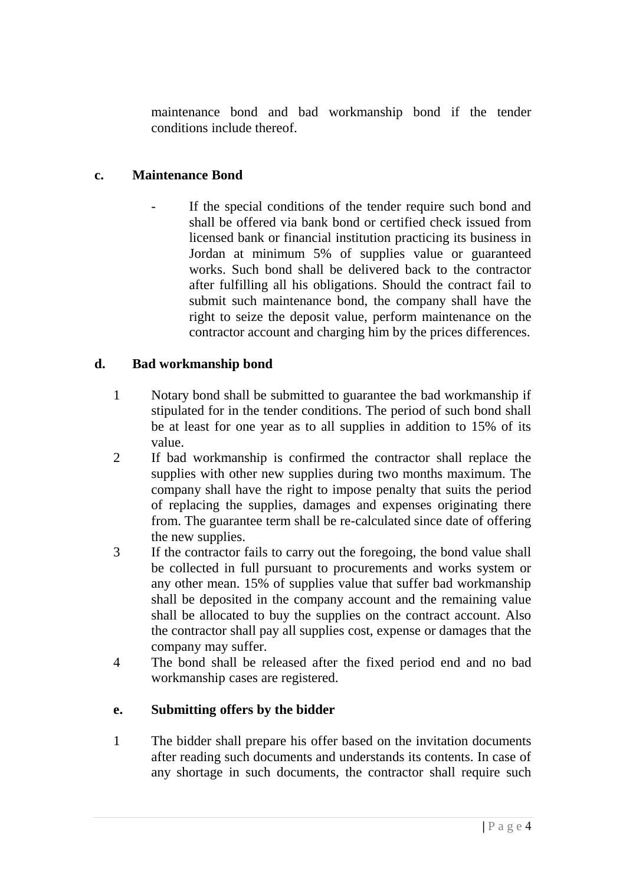maintenance bond and bad workmanship bond if the tender conditions include thereof.

# **c. Maintenance Bond**

If the special conditions of the tender require such bond and shall be offered via bank bond or certified check issued from licensed bank or financial institution practicing its business in Jordan at minimum 5% of supplies value or guaranteed works. Such bond shall be delivered back to the contractor after fulfilling all his obligations. Should the contract fail to submit such maintenance bond, the company shall have the right to seize the deposit value, perform maintenance on the contractor account and charging him by the prices differences.

# **d. Bad workmanship bond**

- 1 Notary bond shall be submitted to guarantee the bad workmanship if stipulated for in the tender conditions. The period of such bond shall be at least for one year as to all supplies in addition to 15% of its value.
- 2 If bad workmanship is confirmed the contractor shall replace the supplies with other new supplies during two months maximum. The company shall have the right to impose penalty that suits the period of replacing the supplies, damages and expenses originating there from. The guarantee term shall be re-calculated since date of offering the new supplies.
- 3 If the contractor fails to carry out the foregoing, the bond value shall be collected in full pursuant to procurements and works system or any other mean. 15% of supplies value that suffer bad workmanship shall be deposited in the company account and the remaining value shall be allocated to buy the supplies on the contract account. Also the contractor shall pay all supplies cost, expense or damages that the company may suffer.
- 4 The bond shall be released after the fixed period end and no bad workmanship cases are registered.

# **e. Submitting offers by the bidder**

1 The bidder shall prepare his offer based on the invitation documents after reading such documents and understands its contents. In case of any shortage in such documents, the contractor shall require such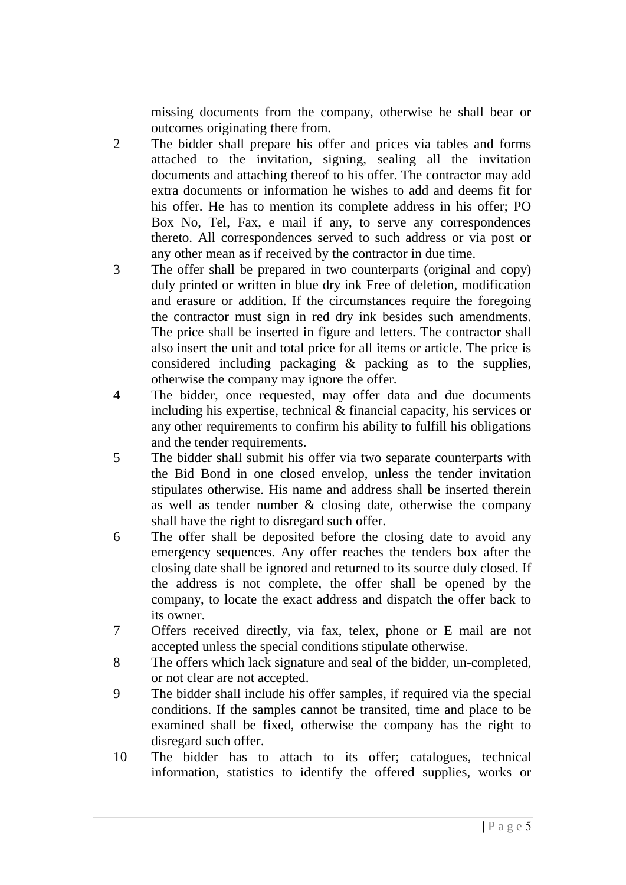missing documents from the company, otherwise he shall bear or outcomes originating there from.

- 2 The bidder shall prepare his offer and prices via tables and forms attached to the invitation, signing, sealing all the invitation documents and attaching thereof to his offer. The contractor may add extra documents or information he wishes to add and deems fit for his offer. He has to mention its complete address in his offer; PO Box No, Tel, Fax, e mail if any, to serve any correspondences thereto. All correspondences served to such address or via post or any other mean as if received by the contractor in due time.
- 3 The offer shall be prepared in two counterparts (original and copy) duly printed or written in blue dry ink Free of deletion, modification and erasure or addition. If the circumstances require the foregoing the contractor must sign in red dry ink besides such amendments. The price shall be inserted in figure and letters. The contractor shall also insert the unit and total price for all items or article. The price is considered including packaging & packing as to the supplies, otherwise the company may ignore the offer.
- 4 The bidder, once requested, may offer data and due documents including his expertise, technical & financial capacity, his services or any other requirements to confirm his ability to fulfill his obligations and the tender requirements.
- 5 The bidder shall submit his offer via two separate counterparts with the Bid Bond in one closed envelop, unless the tender invitation stipulates otherwise. His name and address shall be inserted therein as well as tender number & closing date, otherwise the company shall have the right to disregard such offer.
- 6 The offer shall be deposited before the closing date to avoid any emergency sequences. Any offer reaches the tenders box after the closing date shall be ignored and returned to its source duly closed. If the address is not complete, the offer shall be opened by the company, to locate the exact address and dispatch the offer back to its owner.
- 7 Offers received directly, via fax, telex, phone or E mail are not accepted unless the special conditions stipulate otherwise.
- 8 The offers which lack signature and seal of the bidder, un-completed, or not clear are not accepted.
- 9 The bidder shall include his offer samples, if required via the special conditions. If the samples cannot be transited, time and place to be examined shall be fixed, otherwise the company has the right to disregard such offer.
- 10 The bidder has to attach to its offer; catalogues, technical information, statistics to identify the offered supplies, works or
	- **|** P a g e 5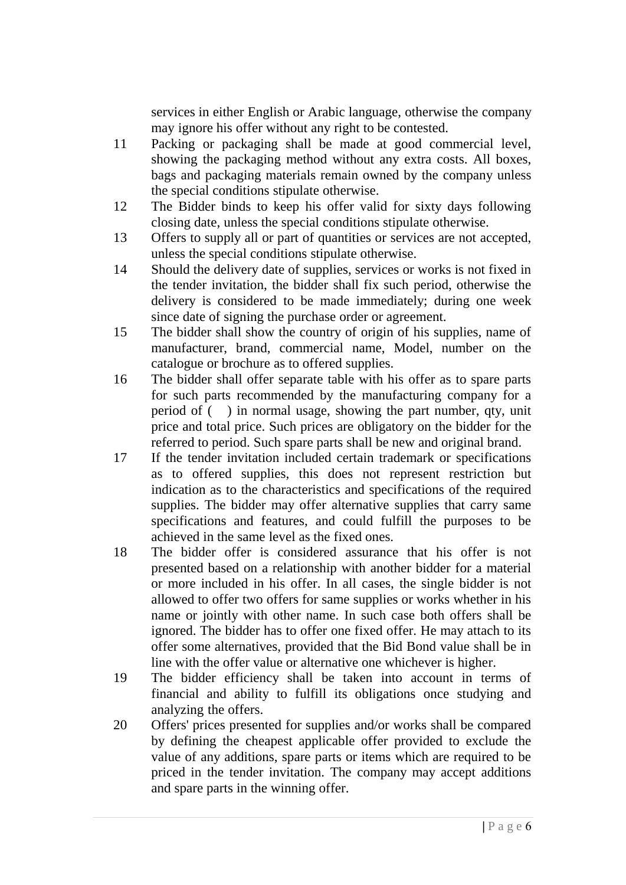services in either English or Arabic language, otherwise the company may ignore his offer without any right to be contested.

- 11 Packing or packaging shall be made at good commercial level, showing the packaging method without any extra costs. All boxes, bags and packaging materials remain owned by the company unless the special conditions stipulate otherwise.
- 12 The Bidder binds to keep his offer valid for sixty days following closing date, unless the special conditions stipulate otherwise.
- 13 Offers to supply all or part of quantities or services are not accepted, unless the special conditions stipulate otherwise.
- 14 Should the delivery date of supplies, services or works is not fixed in the tender invitation, the bidder shall fix such period, otherwise the delivery is considered to be made immediately; during one week since date of signing the purchase order or agreement.
- 15 The bidder shall show the country of origin of his supplies, name of manufacturer, brand, commercial name, Model, number on the catalogue or brochure as to offered supplies.
- 16 The bidder shall offer separate table with his offer as to spare parts for such parts recommended by the manufacturing company for a period of ( ) in normal usage, showing the part number, qty, unit price and total price. Such prices are obligatory on the bidder for the referred to period. Such spare parts shall be new and original brand.
- 17 If the tender invitation included certain trademark or specifications as to offered supplies, this does not represent restriction but indication as to the characteristics and specifications of the required supplies. The bidder may offer alternative supplies that carry same specifications and features, and could fulfill the purposes to be achieved in the same level as the fixed ones.
- 18 The bidder offer is considered assurance that his offer is not presented based on a relationship with another bidder for a material or more included in his offer. In all cases, the single bidder is not allowed to offer two offers for same supplies or works whether in his name or jointly with other name. In such case both offers shall be ignored. The bidder has to offer one fixed offer. He may attach to its offer some alternatives, provided that the Bid Bond value shall be in line with the offer value or alternative one whichever is higher.
- 19 The bidder efficiency shall be taken into account in terms of financial and ability to fulfill its obligations once studying and analyzing the offers.
- 20 Offers' prices presented for supplies and/or works shall be compared by defining the cheapest applicable offer provided to exclude the value of any additions, spare parts or items which are required to be priced in the tender invitation. The company may accept additions and spare parts in the winning offer.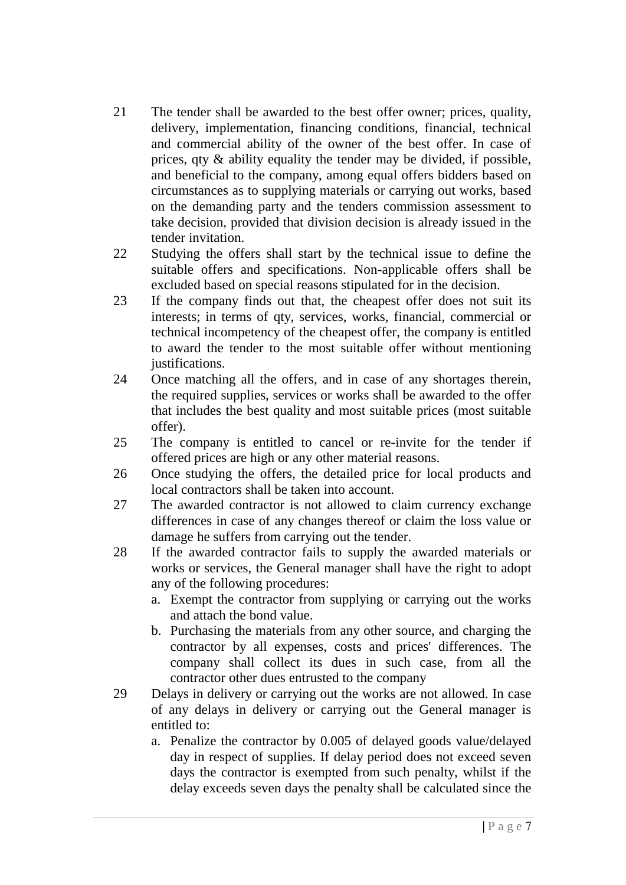- 21 The tender shall be awarded to the best offer owner; prices, quality, delivery, implementation, financing conditions, financial, technical and commercial ability of the owner of the best offer. In case of prices, qty & ability equality the tender may be divided, if possible, and beneficial to the company, among equal offers bidders based on circumstances as to supplying materials or carrying out works, based on the demanding party and the tenders commission assessment to take decision, provided that division decision is already issued in the tender invitation.
- 22 Studying the offers shall start by the technical issue to define the suitable offers and specifications. Non-applicable offers shall be excluded based on special reasons stipulated for in the decision.
- 23 If the company finds out that, the cheapest offer does not suit its interests; in terms of qty, services, works, financial, commercial or technical incompetency of the cheapest offer, the company is entitled to award the tender to the most suitable offer without mentioning justifications.
- 24 Once matching all the offers, and in case of any shortages therein, the required supplies, services or works shall be awarded to the offer that includes the best quality and most suitable prices (most suitable offer).
- 25 The company is entitled to cancel or re-invite for the tender if offered prices are high or any other material reasons.
- 26 Once studying the offers, the detailed price for local products and local contractors shall be taken into account.
- 27 The awarded contractor is not allowed to claim currency exchange differences in case of any changes thereof or claim the loss value or damage he suffers from carrying out the tender.
- 28 If the awarded contractor fails to supply the awarded materials or works or services, the General manager shall have the right to adopt any of the following procedures:
	- a. Exempt the contractor from supplying or carrying out the works and attach the bond value.
	- b. Purchasing the materials from any other source, and charging the contractor by all expenses, costs and prices' differences. The company shall collect its dues in such case, from all the contractor other dues entrusted to the company
- 29 Delays in delivery or carrying out the works are not allowed. In case of any delays in delivery or carrying out the General manager is entitled to:
	- a. Penalize the contractor by 0.005 of delayed goods value/delayed day in respect of supplies. If delay period does not exceed seven days the contractor is exempted from such penalty, whilst if the delay exceeds seven days the penalty shall be calculated since the